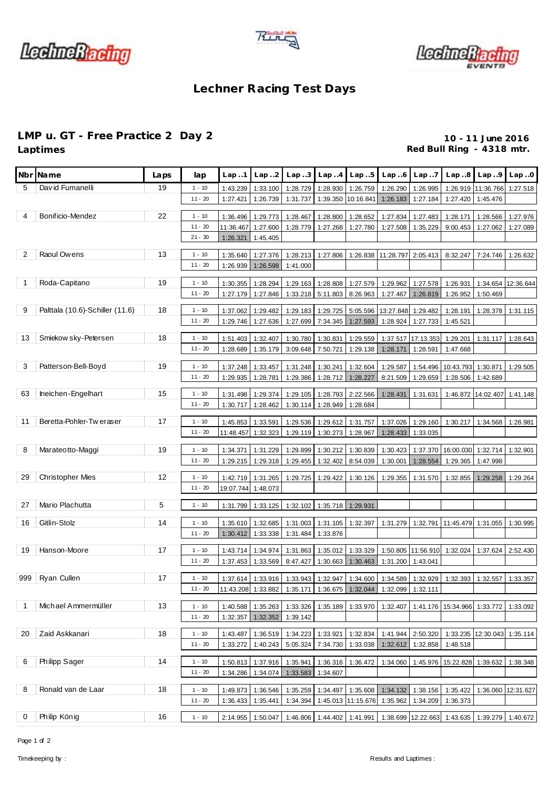





## **Lechner Racing Test Days**

## **LMP u. GT - Free Practice 2 Day 2 10 - 11 June 2016**

Red Bull Ring - 4318 mtr.

| Nbr            | Name                            | Laps | lap                    | Lap1                  | Lap. .2              | Lap. .3                                                         | Lap4                 | Lap.5                      | Lap.6                                                  | Lap.7              | Lap.8                 | Lap.9                | Lap.0              |
|----------------|---------------------------------|------|------------------------|-----------------------|----------------------|-----------------------------------------------------------------|----------------------|----------------------------|--------------------------------------------------------|--------------------|-----------------------|----------------------|--------------------|
| 5              | David Fumanelli                 | 19   | $1 - 10$               | 1:43.239              | 1:33.100             | 1:28.729                                                        | 1:28.930             | 1:26.759                   | 1:26.290                                               | 1:26.995           | 1:26.919              | 11:36.766            | 1:27.518           |
|                |                                 |      | $11 - 20$              | 1:27.421              | 1:26.739             | 1:31.737                                                        |                      | 1:39.350 10:16.841         | 1:26.183                                               | 1:27.184           | 1:27.420              | 1:45.476             |                    |
|                |                                 |      |                        |                       |                      |                                                                 |                      |                            |                                                        |                    |                       |                      |                    |
| 4              | Bonificio-Mendez                | 22   | $1 - 10$               | 1:36.496              | 1:29.773             | 1:28.467                                                        | 1:28.800             | 1:28.652                   | 1:27.834                                               | 1:27.483           | 1:28.171              | 1:28.566             | 1:27.976           |
|                |                                 |      | $11 - 20$<br>$21 - 30$ | 11:36.467<br>1:26.321 | 1:27.600<br>1:45.405 | 1:28.779                                                        | 1:27.268             | 1:27.780                   | 1:27.508                                               | 1:35.229           | 9:00.453              | 1:27.062             | 1:27.089           |
|                |                                 |      |                        |                       |                      |                                                                 |                      |                            |                                                        |                    |                       |                      |                    |
| $\overline{2}$ | Raoul Owens                     | 13   | $1 - 10$               | 1:35.640              | 1:27.376             | 1:28.213                                                        | 1:27.806             |                            | 1:26.838 11:28.797                                     | 2:05.413           | 8:32.247              | 7:24.746             | 1:26.632           |
|                |                                 |      | $11 - 20$              | 1:26.939              | 1:26.598             | 1:41.000                                                        |                      |                            |                                                        |                    |                       |                      |                    |
| $\mathbf 1$    | Roda-Capitano                   | 19   | $1 - 10$               | 1:30.355              | 1:28.294             | 1:29.163                                                        | 1:28.808             | 1:27.579                   | 1:29.962                                               | 1:27.578           | 1:26.931              | 1:34.654             | 12:36.644          |
|                |                                 |      | $11 - 20$              | 1:27.179              | 1:27.846             | 1:33.218                                                        | 5:11.803             | 8:26.963                   | 1:27.467                                               | 1:26.819           | 1:26.952              | 1:50.469             |                    |
|                |                                 |      |                        |                       |                      |                                                                 |                      |                            |                                                        |                    |                       |                      |                    |
| 9              | Palttala (10.6)-Schiller (11.6) | 18   | $1 - 10$               | 1:37.062              | 1:29.482             | 1:29.183                                                        | 1:29.725             | 5:05.596                   | 13:27.848                                              | 1:29.482           | 1:28.191              | 1:28.378             | 1:31.115           |
|                |                                 |      | $11 - 20$              | 1:29.746              | 1:27.636             | 1:27.699                                                        | 7:34.345             | 1:27.593                   | 1:28.924                                               | 1:27.733           | 1:45.521              |                      |                    |
| 13             | Smiekow sky-Petersen            | 18   | $1 - 10$               | 1:51.403              | 1:32.407             | 1:30.780                                                        | 1:30.831             | 1:29.559                   |                                                        | 1:37.517 17:13.353 | 1:29.201              | 1:31.117             | 1:28.643           |
|                |                                 |      | $11 - 20$              | 1:28.689              | 1:35.179             | 3:09.648                                                        | 7:50.721             | 1:29.138                   | 1:28.171                                               | 1:28.591           | 1:47.668              |                      |                    |
| 3              | Patterson-Bell-Boyd             | 19   | $1 - 10$               | 1:37.248              |                      | 1:31.248                                                        |                      |                            | 1:29.587                                               | 1:54.496           |                       |                      |                    |
|                |                                 |      | $11 - 20$              | 1:29.935              | 1:33.457<br>1:28.781 | 1:29.386                                                        | 1:30.241<br>1:28.712 | 1:32.604<br>1:28.227       | 8:21.509                                               | 1:29.659           | 10:43.793<br>1:28.506 | 1:30.871<br>1:42.689 | 1:29.505           |
|                |                                 |      |                        |                       |                      |                                                                 |                      |                            |                                                        |                    |                       |                      |                    |
| 63             | Ineichen-Engelhart              | 15   | $1 - 10$               | 1:31.498              | 1:29.374             | 1:29.105                                                        |                      | 1:28.793 2:22.566          | 1:28.431                                               | 1:31.631           | 1:46.872              | 14:02.407            | 1:41.148           |
|                |                                 |      | $11 - 20$              | 1:30.717              | 1:28.462             | 1:30.114                                                        | 1:28.949             | 1:28.684                   |                                                        |                    |                       |                      |                    |
| 11             | Beretta-Pohler-Tw eraser        | 17   | $1 - 10$               | 1:45.853              | 1:33.591             | 1:29.536                                                        | 1:29.612             | 1:31.757                   | 1:37.026                                               | 1:29.160           | 1:30.217              | 1:34.568             | 1:28.981           |
|                |                                 |      | $11 - 20$              | 11:48.457             | 1:32.323             | 1:29.119                                                        | 1:30.273             | 1:28.967                   | 1:28.433                                               | 1:33.035           |                       |                      |                    |
|                |                                 |      |                        |                       |                      |                                                                 |                      |                            |                                                        |                    |                       |                      |                    |
| 8              | Marateotto-Maggi                | 19   | $1 - 10$               | 1:34.371              | 1:31.229             | 1:29.899                                                        | 1:30.212             | 1:30.839                   | 1:30.423                                               | 1:37.370           | 16:00.030             | 1:32.714             | 1:32.901           |
|                |                                 |      | $11 - 20$              | 1:29.215              | 1:29.318             | 1:29.455                                                        | 1:32.402             | 8:54.039                   | 1:30.001                                               | 1:28.554           | 1:29.365              | 1:47.998             |                    |
| 29             | <b>Christopher Mies</b>         | 12   | $1 - 10$               | 1:42.719              | 1:31.265             | 1:29.725                                                        | 1:29.422             | 1:30.126                   | 1:29.355                                               | 1:31.570           | 1:32.855              | 1:29.258             | 1:29.264           |
|                |                                 |      | $11 - 20$              | 19:07.744             | 1:48.073             |                                                                 |                      |                            |                                                        |                    |                       |                      |                    |
| 27             | Mario Plachutta                 | 5    | $1 - 10$               | 1:31.799              | 1:33.125             | 1:32.102                                                        | 1:35.718             | 1:29.931                   |                                                        |                    |                       |                      |                    |
|                |                                 |      |                        |                       |                      |                                                                 |                      |                            |                                                        |                    |                       |                      |                    |
| 16             | Gitlin-Stolz                    | 14   | $1 - 10$               | 1:35.610              | 1:32.685             | 1:31.003                                                        | 1:31.105             | 1:32.397                   | 1:31.279                                               |                    | 1:32.791 11:45.479    | 1:31.055             | 1:30.995           |
|                |                                 |      | $11 - 20$              | 1:30.412              | 1:33.338             | 1:31.484                                                        | 1:33.876             |                            |                                                        |                    |                       |                      |                    |
| 19             | Hanson-Moore                    | 17   | $1 - 10$               | 1:43.714              | 1:34.974             | 1:31.863                                                        | 1:35.012             | 1:33.329                   |                                                        | 1:50.805 11:56.910 | 1:32.024              | 1:37.624             | 2:52.430           |
|                |                                 |      | $11 - 20$              | 1:37.453              | 1:33.569             | 8:47.427                                                        | 1:30.663             | 1:30.463                   | 1:31.200                                               | 1:43.041           |                       |                      |                    |
|                |                                 |      |                        |                       |                      |                                                                 |                      |                            |                                                        |                    |                       |                      |                    |
| 999            | Ryan Cullen                     | 17   | $1 - 10$               |                       |                      | 1:37.614 1:33.916 1:33.943 1:32.947 1:34.600 1:34.589 1:32.929  |                      |                            |                                                        |                    | 1:32.393              | 1:32.557             | 1:33.357           |
|                |                                 |      | $11 - 20$              |                       |                      | 11:43.208 1:33.882 1:35.171 1:36.675 1:32.044 1:32.099 1:32.111 |                      |                            |                                                        |                    |                       |                      |                    |
| $\mathbf{1}$   | Michael Ammermüller             | 13   | $1 - 10$               | 1:40.588              | 1:35.263             |                                                                 | 1:33.326 1:35.189    | 1:33.970                   | 1:32.407                                               |                    | 1:41.176 15:34.966    | 1:33.772             | 1:33.092           |
|                |                                 |      | $11 - 20$              | 1:32.357              | 1:32.352             | 1:39.142                                                        |                      |                            |                                                        |                    |                       |                      |                    |
| 20             | Zaid Askkanari                  | 18   | $1 - 10$               | 1:43.487              | 1:36.519             | 1:34.223                                                        | 1:33.921             | 1:32.834                   | 1:41.944                                               | 2:50.320           |                       | 1:33.235 12:30.043   | 1:35.114           |
|                |                                 |      | $11 - 20$              | 1:33.272              | 1:40.243             |                                                                 |                      | 5:05.324 7:34.730 1:33.038 |                                                        | 1:32.612 1:32.858  | 1:48.518              |                      |                    |
|                |                                 |      |                        |                       |                      |                                                                 |                      |                            |                                                        |                    |                       |                      |                    |
| 6              | Philipp Sager                   | 14   | $1 - 10$               | 1:50.813              | 1:37.916             | 1:35.941                                                        |                      | 1:36.316 1:36.472          | 1:34.060                                               |                    | 1:45.976 15:22.828    | 1:39.632             | 1:38.348           |
|                |                                 |      | $11 - 20$              | 1:34.286              | 1:34.074             |                                                                 | 1:33.583 1:34.607    |                            |                                                        |                    |                       |                      |                    |
| 8              | Ronald van de Laar              | 18   | $1 - 10$               | 1:49.873              | 1:36.546             |                                                                 |                      | 1:35.259 1:34.497 1:35.608 | 1:34.132                                               | 1:38.156           | 1:35.422              |                      | 1:36.060 12:31.627 |
|                |                                 |      | $11 - 20$              | 1:36.433              | 1:35.441             |                                                                 |                      |                            | 1:34.394 1:45.013 11:15.676 1:35.962 1:34.209 1:36.373 |                    |                       |                      |                    |
|                |                                 |      |                        |                       |                      |                                                                 |                      |                            |                                                        |                    |                       |                      |                    |
| 0              | Philip König                    | 16   | $1 - 10$               | 2:14.955              | 1:50.047             |                                                                 |                      |                            | 1:46.806 1:44.402 1:41.991 1:38.699 12:22.663          |                    |                       | 1:43.635 1:39.279    | 1:40.672           |